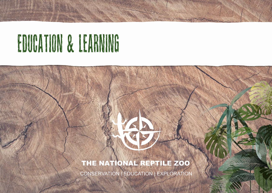# EDUCATION & LEARNING

### THE NATIONAL REPTILE ZOO

CONSERVATION | EDUCATION | EXPLORATION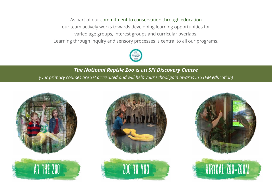As part of our commitment to conservation through education our team actively works towards developing learning opportunities for varied age groups, interest groups and curricular overlaps. Learning through inquiry and sensory processes is central to all our programs.



### *The National Reptile Zoo* **is an** *SFI Discovery Centre (Our primary courses are SFI accredited and will help your school gain awards in STEM education)*











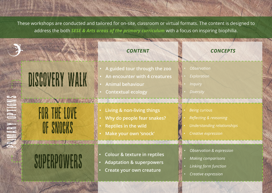These workshops are conducted and tailored for on-site, classroom or virtual formats. The content is designed to address the both *SESE & Arts areas of the primary curriculum* with a focus on inspiring biophilia.

**CONTRACTOR** 

|                                                           | <b>CONTENT</b>                                                                                                                          | <b>CONCEPTS</b>                                                                                                 |
|-----------------------------------------------------------|-----------------------------------------------------------------------------------------------------------------------------------------|-----------------------------------------------------------------------------------------------------------------|
| DISCOVERY WALK                                            | A guided tour through the zoo<br>An encounter with 4 creatures<br><b>Animal behaviour</b><br><b>Contextual ecology</b><br>A KUWA MARAZI | <b>Observation</b><br>Exploration<br><b>Inquiry</b><br><b>Diversity</b><br>A WEBSTER AND THE RESERVE OF THE TWO |
| IR THE LOVE<br><b>THE REAL PROPERTY OF STATE OF STATE</b> | Living & non-living things<br>Why do people fear snakes?<br><b>Reptiles in the wild</b><br>Make your own 'snock'                        | <b>Being curious</b><br>Reflecting & reasoning<br>Understanding relationships<br>Creative expression            |
| SUPERPUMA<br><b>Andrew Communication of the Angle</b>     | <b>Colour &amp; texture in reptiles</b><br><b>Adaptation &amp; superpowers</b><br>Create your own creature                              | Observation & expression<br><b>Making comparisons</b><br>Linking form function<br>Creative expression           |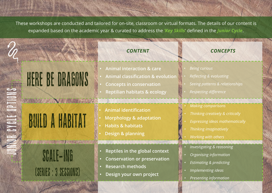These workshops are conducted and tailored for on-site, classroom or virtual formats. The details of our content is expanded based on the academic year & curated to address the *'Key Skills*' defined in the *Junior Cycle*.

## HERE BE DRAGONS

A NATIONAL PRO

## BUILD a HABITAT

JUNIOR CYCLE OPTIONS

A CYALE OPTIONS

SCALE-ING (SERIES : 3 SESSIONs)

- **• Animal interaction & care**
- **• Animal classification & evolution**
- **• Concepts in conservation**
- **• Reptilian habitats & ecology**
- **• Animal identification**
- **• Morphology & adaptation**
- **• Habits & habitats**
- **• Design & planning**
- **• Reptiles in the global context**
- **• Conservation or preservation**
- **• Research methods**
- **• Design your own project**

#### *CONTENT CONCEPTS*

- *• Being curious*
- *• Reflecting & evaluating*
- *• Seeing patterns & relationships*
- *• Respecting difference*
- *• Making comparisons*
- *• Thinking creatively & critically*
- *• Expressing ideas mathematically*
- *• Thinking imaginatively*
- *• Working with others*
- *• Investigating & reasoning*
- *• Organising information*
- *• Estimating & predicting*
- *• Implementing ideas*
- *• Presenting information*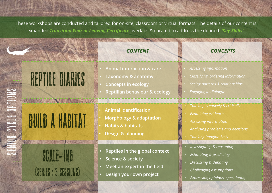These workshops are conducted and tailored for on-site, classroom or virtual formats. The details of our content is expanded *Transition Year or Leaving Certificate* overlaps & curated to address the defined *'Key Skills'*.

### REPTILE DIARIES

A NATIONAL PROPERTY

# BUILD a HABITAT

SCALE-ING (SERIES : 3 SESSIONs)

- **• Animal interaction & care**
- **• Taxonomy & anatomy**
- **• Concepts in ecology**
- **• Reptilian behaviour & ecology**
- **• Animal identification**
- **• Morphology & adaptation**
- **• Habits & habitats**
- **• Design & planning**
- **• Reptiles in the global context**
- **• Science & society**
- **• Meet an expert in the field**
- **• Design your own project**

#### *CONTENT CONCEPTS*

- *• Accessing information*
- *• Classifying, ordering information*
- *• Seeing patterns & relationships*
- *• Engaging in dialogue*
- *• Thinking creatively & critically*
- *• Examining evidence*
- *• Assessing information*
- *• Analysing problems and decisions*
- *• Thinking imaginatively*
- *• Investigating & reasoning*
- *• Estimating & predicting*
- *• Discussing & Debating*
- *• Challenging assumptions*
- *• Expressing opinions, speculating*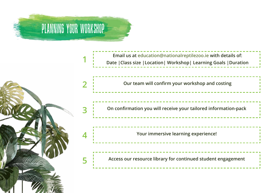

**1**



**Email us at education@nationalreptilezoo.ie with details of: Date |Class size |Location| Workshop| Learning Goals |Duration**



**Your immersive learning experience!**

**Access our resource library for continued student engagement**